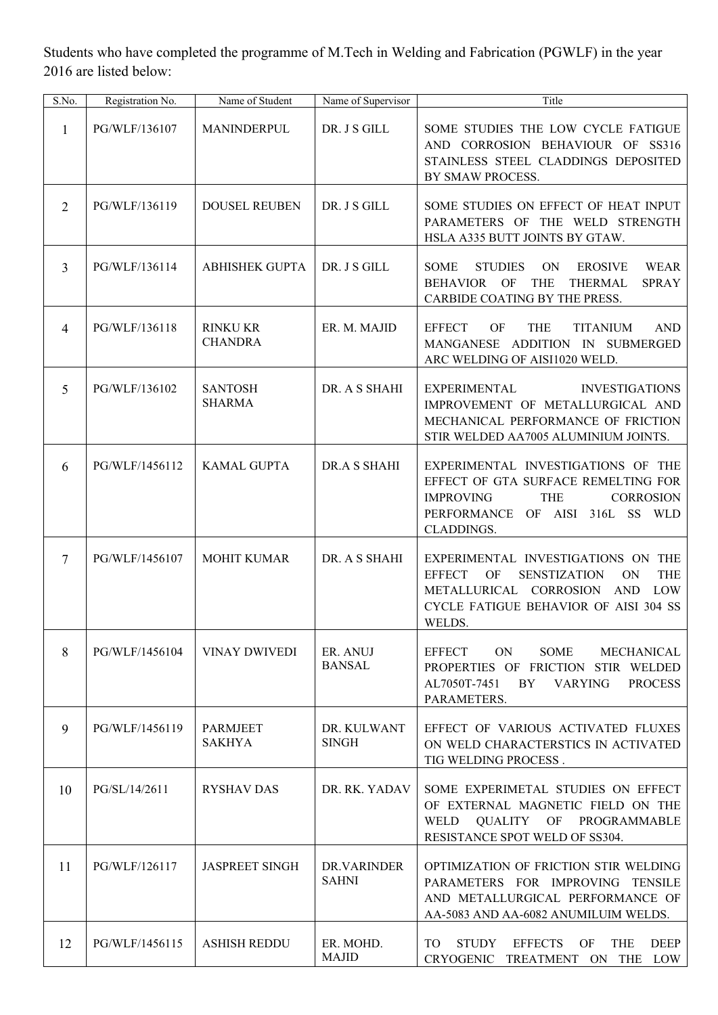Students who have completed the programme of M.Tech in Welding and Fabrication (PGWLF) in the year 2016 are listed below:

| S.No.          | Registration No. | Name of Student                   | Name of Supervisor          | Title                                                                                                                                                                                                         |
|----------------|------------------|-----------------------------------|-----------------------------|---------------------------------------------------------------------------------------------------------------------------------------------------------------------------------------------------------------|
| $\mathbf{1}$   | PG/WLF/136107    | MANINDERPUL                       | DR. J S GILL                | SOME STUDIES THE LOW CYCLE FATIGUE<br>AND CORROSION BEHAVIOUR OF SS316<br>STAINLESS STEEL CLADDINGS DEPOSITED<br>BY SMAW PROCESS.                                                                             |
| $\overline{2}$ | PG/WLF/136119    | <b>DOUSEL REUBEN</b>              | DR. J S GILL                | SOME STUDIES ON EFFECT OF HEAT INPUT<br>PARAMETERS OF THE WELD STRENGTH<br>HSLA A335 BUTT JOINTS BY GTAW.                                                                                                     |
| $\overline{3}$ | PG/WLF/136114    | <b>ABHISHEK GUPTA</b>             | DR. J S GILL                | <b>STUDIES</b><br>ON<br><b>EROSIVE</b><br>WEAR<br><b>SOME</b><br>OF<br><b>BEHAVIOR</b><br><b>THE</b><br><b>THERMAL</b><br><b>SPRAY</b><br>CARBIDE COATING BY THE PRESS.                                       |
| $\overline{4}$ | PG/WLF/136118    | <b>RINKU KR</b><br><b>CHANDRA</b> | ER. M. MAJID                | <b>EFFECT</b><br><b>OF</b><br><b>THE</b><br><b>TITANIUM</b><br><b>AND</b><br>MANGANESE ADDITION IN SUBMERGED<br>ARC WELDING OF AISI1020 WELD.                                                                 |
| 5              | PG/WLF/136102    | <b>SANTOSH</b><br><b>SHARMA</b>   | DR. A S SHAHI               | <b>EXPERIMENTAL</b><br><b>INVESTIGATIONS</b><br>IMPROVEMENT OF METALLURGICAL AND<br>MECHANICAL PERFORMANCE OF FRICTION<br>STIR WELDED AA7005 ALUMINIUM JOINTS.                                                |
| 6              | PG/WLF/1456112   | <b>KAMAL GUPTA</b>                | DR.A S SHAHI                | EXPERIMENTAL INVESTIGATIONS OF THE<br>EFFECT OF GTA SURFACE REMELTING FOR<br><b>THE</b><br><b>CORROSION</b><br><b>IMPROVING</b><br>PERFORMANCE<br>AISI<br>316L<br><b>SS</b><br>OF<br><b>WLD</b><br>CLADDINGS. |
| 7              | PG/WLF/1456107   | <b>MOHIT KUMAR</b>                | DR. A S SHAHI               | EXPERIMENTAL INVESTIGATIONS ON THE<br><b>EFFECT</b><br><b>SENSTIZATION</b><br>ON<br><b>THE</b><br>OF<br>METALLURICAL CORROSION<br><b>AND</b><br>LOW<br>CYCLE FATIGUE BEHAVIOR OF AISI 304 SS<br>WELDS.        |
| 8              | PG/WLF/1456104   | <b>VINAY DWIVEDI</b>              | ER. ANUJ<br><b>BANSAL</b>   | <b>EFFECT</b><br><b>ON</b><br>SOME<br>MECHANICAL<br>PROPERTIES OF FRICTION STIR WELDED<br>AL7050T-7451<br>BY<br><b>VARYING</b><br><b>PROCESS</b><br>PARAMETERS.                                               |
| 9              | PG/WLF/1456119   | <b>PARMJEET</b><br><b>SAKHYA</b>  | DR. KULWANT<br><b>SINGH</b> | EFFECT OF VARIOUS ACTIVATED FLUXES<br>ON WELD CHARACTERSTICS IN ACTIVATED<br>TIG WELDING PROCESS.                                                                                                             |
| 10             | PG/SL/14/2611    | <b>RYSHAV DAS</b>                 | DR. RK. YADAV               | SOME EXPERIMETAL STUDIES ON EFFECT<br>OF EXTERNAL MAGNETIC FIELD ON THE<br>QUALITY OF PROGRAMMABLE<br>WELD<br>RESISTANCE SPOT WELD OF SS304.                                                                  |
| 11             | PG/WLF/126117    | <b>JASPREET SINGH</b>             | DR.VARINDER<br><b>SAHNI</b> | OPTIMIZATION OF FRICTION STIR WELDING<br>PARAMETERS FOR IMPROVING<br><b>TENSILE</b><br>AND METALLURGICAL PERFORMANCE OF<br>AA-5083 AND AA-6082 ANUMILUIM WELDS.                                               |
| 12             | PG/WLF/1456115   | <b>ASHISH REDDU</b>               | ER. MOHD.<br><b>MAJID</b>   | <b>STUDY</b><br><b>EFFECTS</b><br><b>OF</b><br><b>THE</b><br><b>DEEP</b><br>TO<br>CRYOGENIC TREATMENT ON THE LOW                                                                                              |